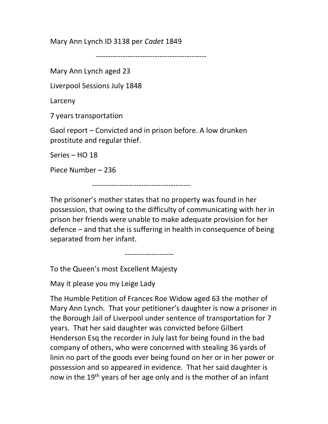Mary Ann Lynch ID 3138 per Cadet 1849

---------------------------------------------

Mary Ann Lynch aged 23

Liverpool Sessions July 1848

Larceny

7 years transportation

Gaol report – Convicted and in prison before. A low drunken prostitute and regular thief.

Series – HO 18

Piece Number – 236

----------------------------------------

The prisoner's mother states that no property was found in her possession, that owing to the difficulty of communicating with her in prison her friends were unable to make adequate provision for her defence – and that she is suffering in health in consequence of being separated from her infant.

--------------------

To the Queen's most Excellent Majesty

May it please you my Leige Lady

The Humble Petition of Frances Roe Widow aged 63 the mother of Mary Ann Lynch. That your petitioner's daughter is now a prisoner in the Borough Jail of Liverpool under sentence of transportation for 7 years. That her said daughter was convicted before Gilbert Henderson Esq the recorder in July last for being found in the bad company of others, who were concerned with stealing 36 yards of linin no part of the goods ever being found on her or in her power or possession and so appeared in evidence. That her said daughter is now in the 19<sup>th</sup> years of her age only and is the mother of an infant